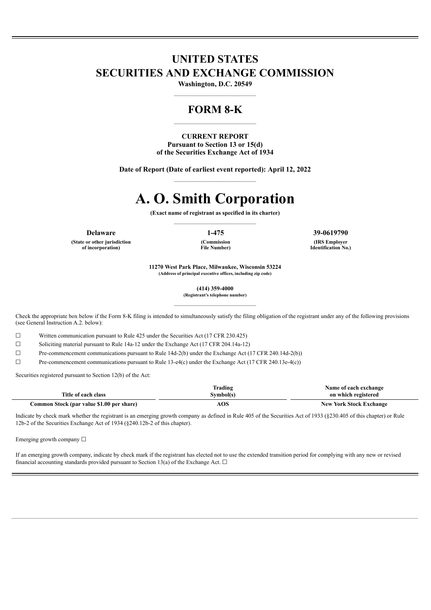# **UNITED STATES SECURITIES AND EXCHANGE COMMISSION**

**Washington, D.C. 20549** ——————————————

## **FORM 8-K**

**CURRENT REPORT Pursuant to Section 13 or 15(d) of the Securities Exchange Act of 1934**

——————————————

**Date of Report (Date of earliest event reported): April 12, 2022** ——————————————

# **A. O. Smith Corporation**

**(Exact name of registrant as specified in its charter)** ——————————————

**(State or other jurisdiction of incorporation)**

**(Commission File Number)**

**Delaware 1-475 39-0619790**

**(IRS Employer Identification No.)**

**11270 West Park Place, Milwaukee, Wisconsin 53224 (Address of principal executive offices, including zip code)**

**(414) 359-4000**

**(Registrant's telephone number)** ——————————————

Check the appropriate box below if the Form 8-K filing is intended to simultaneously satisfy the filing obligation of the registrant under any of the following provisions (see General Instruction A.2. below):

☐ Written communication pursuant to Rule 425 under the Securities Act (17 CFR 230.425)

☐ Soliciting material pursuant to Rule 14a-12 under the Exchange Act (17 CFR 204.14a-12)

☐ Pre-commencement communications pursuant to Rule 14d-2(b) under the Exchange Act (17 CFR 240.14d-2(b))

 $\Box$  Pre-commencement communications pursuant to Rule 13-e4(c) under the Exchange Act (17 CFR 240.13e-4(c))

Securities registered pursuant to Section 12(b) of the Act:

|                                           | Frading   | Name of each exchange          |
|-------------------------------------------|-----------|--------------------------------|
| Title of each class                       | Svmbol(s) | on which registered            |
| Common Stock (par value \$1.00 per share) | AOS       | <b>New York Stock Exchange</b> |

Indicate by check mark whether the registrant is an emerging growth company as defined in Rule 405 of the Securities Act of 1933 (§230.405 of this chapter) or Rule 12b-2 of the Securities Exchange Act of 1934 (§240.12b-2 of this chapter).

Emerging growth company  $\Box$ 

If an emerging growth company, indicate by check mark if the registrant has elected not to use the extended transition period for complying with any new or revised financial accounting standards provided pursuant to Section 13(a) of the Exchange Act.  $\Box$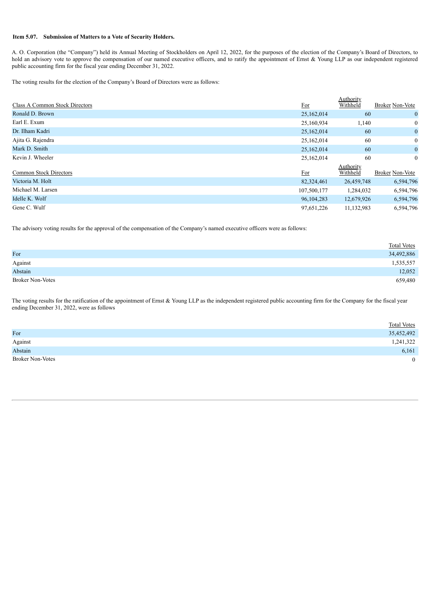#### **Item 5.07. Submission of Matters to a Vote of Security Holders.**

A. O. Corporation (the "Company") held its Annual Meeting of Stockholders on April 12, 2022, for the purposes of the election of the Company's Board of Directors, to hold an advisory vote to approve the compensation of our named executive officers, and to ratify the appointment of Ernst & Young LLP as our independent registered public accounting firm for the fiscal year ending December 31, 2022.

The voting results for the election of the Company's Board of Directors were as follows:

|                                |             | Authority  |                        |
|--------------------------------|-------------|------------|------------------------|
| Class A Common Stock Directors | For         | Withheld   | <b>Broker Non-Vote</b> |
| Ronald D. Brown                | 25,162,014  | 60         | $\mathbf{0}$           |
| Earl E. Exum                   | 25,160,934  | 1,140      | $\overline{0}$         |
| Dr. Ilham Kadri                | 25,162,014  | 60         | $\bf{0}$               |
| Ajita G. Rajendra              | 25,162,014  | 60         | $\overline{0}$         |
| Mark D. Smith                  | 25,162,014  | 60         | $\bf{0}$               |
| Kevin J. Wheeler               | 25,162,014  | 60         | $\overline{0}$         |
|                                |             | Authority  |                        |
| <b>Common Stock Directors</b>  | For         | Withheld   | <b>Broker Non-Vote</b> |
| Victoria M. Holt               | 82,324,461  | 26,459,748 | 6,594,796              |
| Michael M. Larsen              | 107,500,177 | 1,284,032  | 6,594,796              |
| Idelle K. Wolf                 | 96,104,283  | 12,679,926 | 6,594,796              |
| Gene C. Wulf                   | 97,651,226  | 11,132,983 | 6,594,796              |

The advisory voting results for the approval of the compensation of the Company's named executive officers were as follows:

|                         | <b>Total Votes</b> |
|-------------------------|--------------------|
| For                     | 34,492,886         |
| Against                 | 1,535,557          |
| Abstain                 | 12,052             |
| <b>Broker Non-Votes</b> | 659,480            |

The voting results for the ratification of the appointment of Ernst & Young LLP as the independent registered public accounting firm for the Company for the fiscal year ending December 31, 2022, were as follows

|                         | <b>Total Votes</b> |
|-------------------------|--------------------|
| For                     | 35,452,492         |
| Against                 | 1,241,322          |
| Abstain                 | 6,161              |
| <b>Broker Non-Votes</b> | $\theta$           |